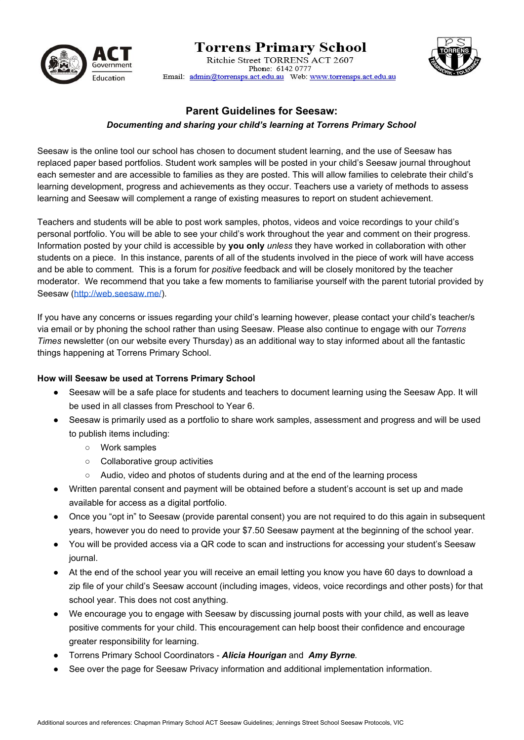

# **Torrens Primary School** Ritchie Street TORRENS ACT 2607

Phone: 6142 0777 Email: admin@torrensps.act.edu.au Web: www.torrensps.act.edu.au



## **Parent Guidelines for Seesaw:**

### *Documenting and sharing your child's learning at Torrens Primary School*

Seesaw is the online tool our school has chosen to document student learning, and the use of Seesaw has replaced paper based portfolios. Student work samples will be posted in your child's Seesaw journal throughout each semester and are accessible to families as they are posted. This will allow families to celebrate their child's learning development, progress and achievements as they occur. Teachers use a variety of methods to assess learning and Seesaw will complement a range of existing measures to report on student achievement.

Teachers and students will be able to post work samples, photos, videos and voice recordings to your child's personal portfolio. You will be able to see your child's work throughout the year and comment on their progress. Information posted by your child is accessible by **you only** *unless* they have worked in collaboration with other students on a piece. In this instance, parents of all of the students involved in the piece of work will have access and be able to comment. This is a forum for *positive* feedback and will be closely monitored by the teacher moderator. We recommend that you take a few moments to familiarise yourself with the parent tutorial provided by Seesaw [\(http://web.seesaw.me/\)](http://web.seesaw.me/).

If you have any concerns or issues regarding your child's learning however, please contact your child's teacher/s via email or by phoning the school rather than using Seesaw. Please also continue to engage with our *Torrens Times* newsletter (on our website every Thursday) as an additional way to stay informed about all the fantastic things happening at Torrens Primary School.

#### **How will Seesaw be used at Torrens Primary School**

- Seesaw will be a safe place for students and teachers to document learning using the Seesaw App. It will be used in all classes from Preschool to Year 6.
- Seesaw is primarily used as a portfolio to share work samples, assessment and progress and will be used to publish items including:
	- Work samples
	- Collaborative group activities
	- Audio, video and photos of students during and at the end of the learning process
- Written parental consent and payment will be obtained before a student's account is set up and made available for access as a digital portfolio.
- Once you "opt in" to Seesaw (provide parental consent) you are not required to do this again in subsequent years, however you do need to provide your \$7.50 Seesaw payment at the beginning of the school year.
- You will be provided access via a QR code to scan and instructions for accessing your student's Seesaw journal.
- At the end of the school year you will receive an email letting you know you have 60 days to download a zip file of your child's Seesaw account (including images, videos, voice recordings and other posts) for that school year. This does not cost anything.
- We encourage you to engage with Seesaw by discussing journal posts with your child, as well as leave positive comments for your child. This encouragement can help boost their confidence and encourage greater responsibility for learning.
- Torrens Primary School Coordinators *Alicia Hourigan* and *Amy Byrne.*
- See over the page for Seesaw Privacy information and additional implementation information.